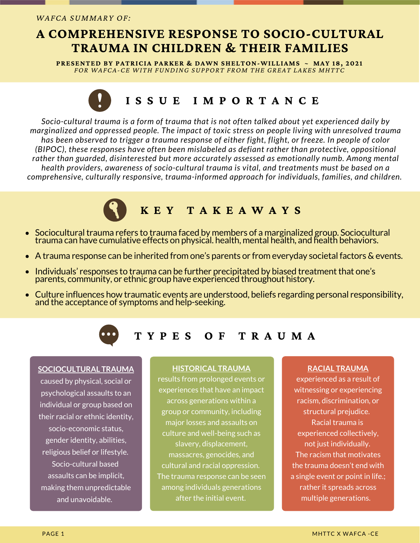## **A COMPREHENSIVE RESPONSE TO SOCIO-CULTURAL TRAUMA IN CHILDREN & THEIR FAMILIES**

**PRESENTED BY PATRICIA PARKER & DAWN SHELTON-WILLIAMS ~ MAY 18, 2021** *FOR WAFCA-CE WITH FUNDING SUPPORT FROM THE GREAT LAKES MHTTC*

# **I S S U E I M P O R T A N C E**

*Socio-cultural trauma is a form of trauma that is not often talked about yet experienced daily by marginalized and oppressed people. The impact of toxic stress on people living with unresolved trauma* has been observed to trigger a trauma response of either fight, flight, or freeze. In people of color *(BIPOC), these responses have often been mislabeled as defiant rather than protective, oppositional rather than guarded, disinterested but more accurately assessed as emotionally numb. Among mental health providers, awareness of socio-cultural trauma is vital, and treatments must be based on a comprehensive, culturally responsive, trauma-informed approach for individuals, families, and children.*

# **K E Y T A K E A W A Y S**

- Sociocultural trauma refers to trauma faced by members of a marginalized group. Sociocultural  $\bullet$ trauma can have cumulative effects on physical. health, mental health, and health behaviors.
- A trauma response can be inherited from one's parents or from everyday societal factors & events.  $\bullet$
- Individuals' responses to trauma can be further precipitated by biased treatment that one's  $\bullet$ parents, community, or ethnic group have experienced throughout history.
- Culture influences how traumatic events are understood, beliefs regarding personal responsibility, and the acceptance of symptoms and help-seeking.



## **T Y P E S O F T R A U M A**

#### **SOCIOCULTURAL TRAUMA**

caused by physical, social or psychological assaults to an individual or group based on their racial or ethnic identity, socio-economic status, gender identity, abilities, religious belief or lifestyle. Socio-cultural based assaults can be implicit, making them unpredictable and unavoidable.

#### **HISTORICAL TRAUMA**

results from prolonged events or experiences that have an impact across generations within a group or community, including major losses and assaults on culture and well-being such as slavery, displacement, massacres, genocides, and cultural and racial oppression. The trauma response can be seen among individuals generations after the initial event.

#### **RACIAL TRAUMA**

experienced as a result of witnessing or experiencing racism, discrimination, or structural prejudice. Racial trauma is experienced collectively, not just individually. The racism that motivates the trauma doesn't end with a single event or point in life.; rather it spreads across multiple generations.